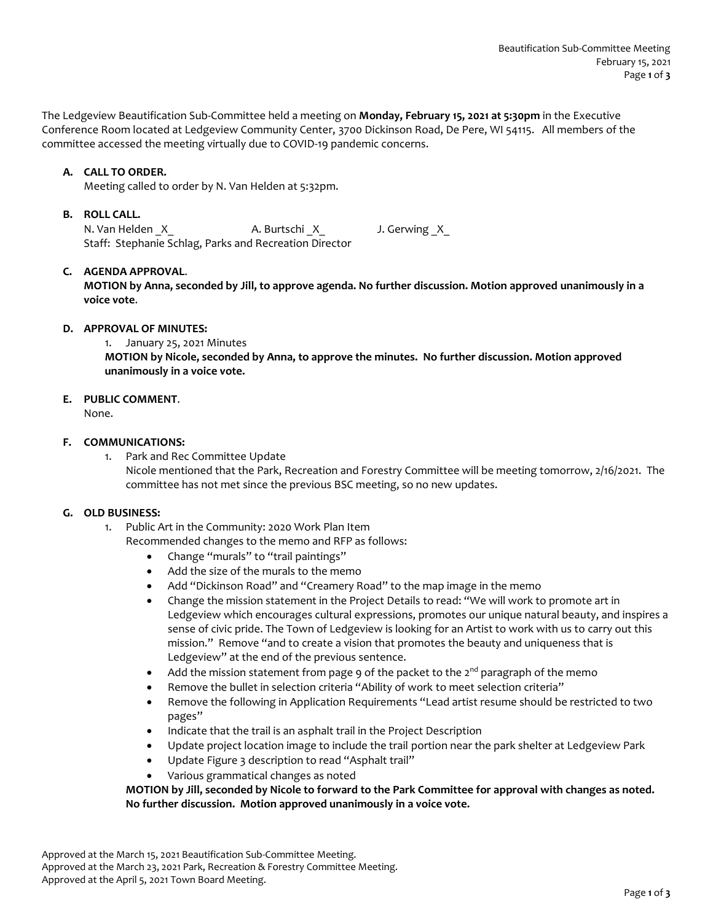The Ledgeview Beautification Sub-Committee held a meeting on **Monday, February 15, 2021 at 5:30pm** in the Executive Conference Room located at Ledgeview Community Center, 3700 Dickinson Road, De Pere, WI 54115. All members of the committee accessed the meeting virtually due to COVID-19 pandemic concerns.

# **A. CALL TO ORDER.**

Meeting called to order by N. Van Helden at 5:32pm.

#### **B. ROLL CALL.**

N. Van Helden X A. Burtschi X J. Gerwing X Staff: Stephanie Schlag, Parks and Recreation Director

### **C. AGENDA APPROVAL**.

**MOTION by Anna, seconded by Jill, to approve agenda. No further discussion. Motion approved unanimously in a voice vote**.

#### **D. APPROVAL OF MINUTES:**

1. January 25, 2021 Minutes

**MOTION by Nicole, seconded by Anna, to approve the minutes. No further discussion. Motion approved unanimously in a voice vote.**

# **E. PUBLIC COMMENT**.

None.

### **F. COMMUNICATIONS:**

1. Park and Rec Committee Update Nicole mentioned that the Park, Recreation and Forestry Committee will be meeting tomorrow, 2/16/2021. The committee has not met since the previous BSC meeting, so no new updates.

### **G. OLD BUSINESS:**

- 1. Public Art in the Community: 2020 Work Plan Item Recommended changes to the memo and RFP as follows:
	- Change "murals" to "trail paintings"
	- Add the size of the murals to the memo
	- Add "Dickinson Road" and "Creamery Road" to the map image in the memo
	- Change the mission statement in the Project Details to read: "We will work to promote art in Ledgeview which encourages cultural expressions, promotes our unique natural beauty, and inspires a sense of civic pride. The Town of Ledgeview is looking for an Artist to work with us to carry out this mission." Remove "and to create a vision that promotes the beauty and uniqueness that is Ledgeview" at the end of the previous sentence.
	- Add the mission statement from page 9 of the packet to the  $2^{nd}$  paragraph of the memo
	- Remove the bullet in selection criteria "Ability of work to meet selection criteria"
	- Remove the following in Application Requirements "Lead artist resume should be restricted to two pages"
	- Indicate that the trail is an asphalt trail in the Project Description
	- Update project location image to include the trail portion near the park shelter at Ledgeview Park
	- Update Figure 3 description to read "Asphalt trail"
	- Various grammatical changes as noted

**MOTION by Jill, seconded by Nicole to forward to the Park Committee for approval with changes as noted. No further discussion. Motion approved unanimously in a voice vote.**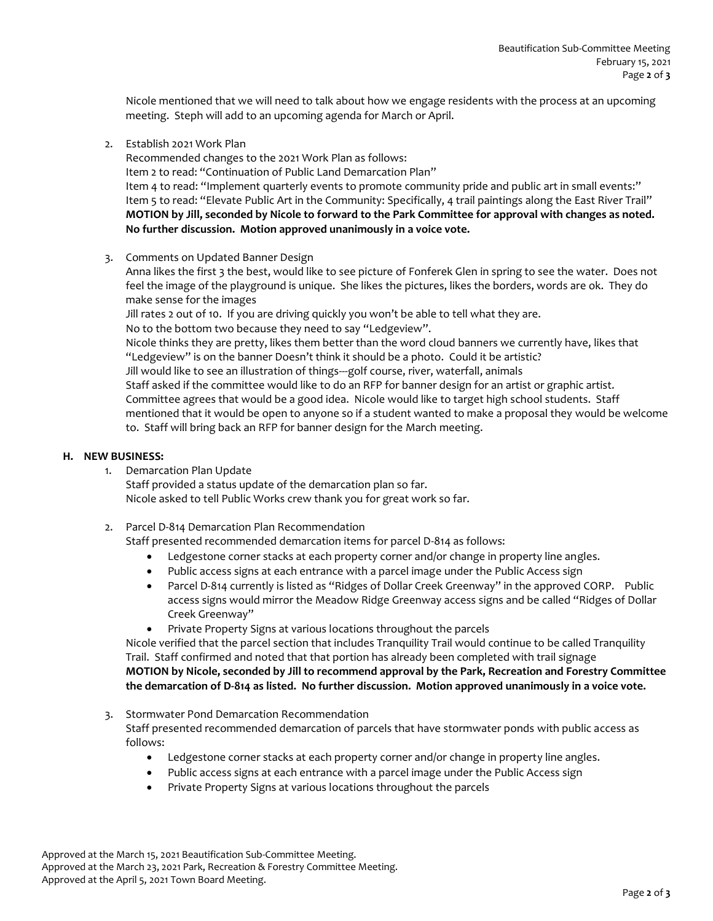Nicole mentioned that we will need to talk about how we engage residents with the process at an upcoming meeting. Steph will add to an upcoming agenda for March or April.

2. Establish 2021 Work Plan

Recommended changes to the 2021 Work Plan as follows: Item 2 to read: "Continuation of Public Land Demarcation Plan" Item 4 to read: "Implement quarterly events to promote community pride and public art in small events:" Item 5 to read: "Elevate Public Art in the Community: Specifically, 4 trail paintings along the East River Trail" **MOTION by Jill, seconded by Nicole to forward to the Park Committee for approval with changes as noted. No further discussion. Motion approved unanimously in a voice vote.**

3. Comments on Updated Banner Design

Anna likes the first 3 the best, would like to see picture of Fonferek Glen in spring to see the water. Does not feel the image of the playground is unique. She likes the pictures, likes the borders, words are ok. They do make sense for the images

Jill rates 2 out of 10. If you are driving quickly you won't be able to tell what they are. No to the bottom two because they need to say "Ledgeview".

Nicole thinks they are pretty, likes them better than the word cloud banners we currently have, likes that "Ledgeview" is on the banner Doesn't think it should be a photo. Could it be artistic?

Jill would like to see an illustration of things---golf course, river, waterfall, animals

Staff asked if the committee would like to do an RFP for banner design for an artist or graphic artist. Committee agrees that would be a good idea. Nicole would like to target high school students. Staff mentioned that it would be open to anyone so if a student wanted to make a proposal they would be welcome to. Staff will bring back an RFP for banner design for the March meeting.

# **H. NEW BUSINESS:**

- 1. Demarcation Plan Update Staff provided a status update of the demarcation plan so far. Nicole asked to tell Public Works crew thank you for great work so far.
- 2. Parcel D-814 Demarcation Plan Recommendation

Staff presented recommended demarcation items for parcel D-814 as follows:

- Ledgestone corner stacks at each property corner and/or change in property line angles.
- Public access signs at each entrance with a parcel image under the Public Access sign
- Parcel D-814 currently is listed as "Ridges of Dollar Creek Greenway" in the approved CORP. Public access signs would mirror the Meadow Ridge Greenway access signs and be called "Ridges of Dollar Creek Greenway"
- Private Property Signs at various locations throughout the parcels

Nicole verified that the parcel section that includes Tranquility Trail would continue to be called Tranquility Trail. Staff confirmed and noted that that portion has already been completed with trail signage **MOTION by Nicole, seconded by Jill to recommend approval by the Park, Recreation and Forestry Committee the demarcation of D-814 as listed. No further discussion. Motion approved unanimously in a voice vote.**

3. Stormwater Pond Demarcation Recommendation

Staff presented recommended demarcation of parcels that have stormwater ponds with public access as follows:

- Ledgestone corner stacks at each property corner and/or change in property line angles.
- Public access signs at each entrance with a parcel image under the Public Access sign
- Private Property Signs at various locations throughout the parcels